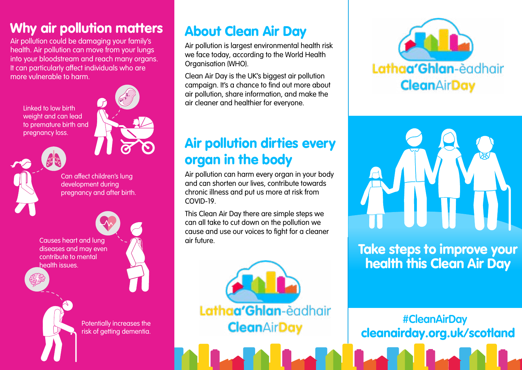# Why air pollution matters

Air pollution could be damaging your family's health. Air pollution can move from your lungs into your bloodstream and reach many organs. It can particularly affect individuals who are more vulnerable to harm.

Linked to low birth weight and can lead to premature birth and pregnancy loss.



Can affect children's lung development during pregnancy and after birth.

Causes heart and lung diseases and may even contribute to mental health issues.





Potentially increases the risk of getting dementia.

# About Clean Air Day

Air pollution is largest environmental health risk we face today, according to the World Health Organisation (WHO).

Clean Air Day is the UK's biggest air pollution campaign. It's a chance to find out more about air pollution, share information, and make the air cleaner and healthier for everyone.

# Air pollution dirties every organ in the body

Air pollution can harm every organ in your body and can shorten our lives, contribute towards chronic illness and put us more at risk from COVID-19.

This Clean Air Day there are simple steps we can all take to cut down on the pollution we cause and use our voices to fight for a cleaner air future.







Take steps to improve your health this Clean Air Day

cleanairday.org.uk/scotland **#CleanAirDay**